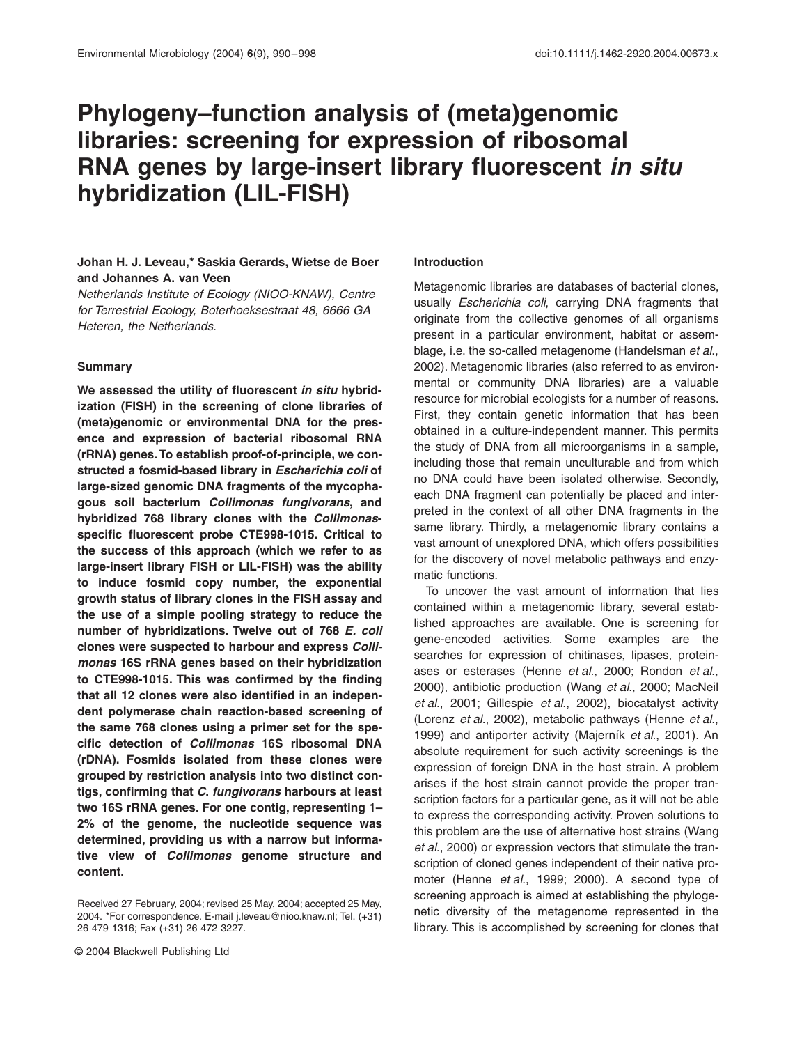# **Phylogeny–function analysis of (meta)genomic libraries: screening for expression of ribosomal RNA genes by large-insert library fluorescent** *in situ* **hybridization (LIL-FISH)**

## **Johan H. J. Leveau,\* Saskia Gerards, Wietse de Boer and Johannes A. van Veen**

*Netherlands Institute of Ecology (NIOO-KNAW), Centre for Terrestrial Ecology, Boterhoeksestraat 48, 6666 GA Heteren, the Netherlands.*

## **Summary**

**We assessed the utility of fluorescent** *in situ* **hybridization (FISH) in the screening of clone libraries of (meta)genomic or environmental DNA for the presence and expression of bacterial ribosomal RNA (rRNA) genes. To establish proof-of-principle, we constructed a fosmid-based library in** *Escherichia coli* **of large-sized genomic DNA fragments of the mycophagous soil bacterium** *Collimonas fungivorans***, and hybridized 768 library clones with the** *Collimonas***specific fluorescent probe CTE998-1015. Critical to the success of this approach (which we refer to as large-insert library FISH or LIL-FISH) was the ability to induce fosmid copy number, the exponential growth status of library clones in the FISH assay and the use of a simple pooling strategy to reduce the number of hybridizations. Twelve out of 768** *E. coli* **clones were suspected to harbour and express** *Collimonas* **16S rRNA genes based on their hybridization to CTE998-1015. This was confirmed by the finding that all 12 clones were also identified in an independent polymerase chain reaction-based screening of the same 768 clones using a primer set for the specific detection of** *Collimonas* **16S ribosomal DNA (rDNA). Fosmids isolated from these clones were grouped by restriction analysis into two distinct contigs, confirming that** *C***.** *fungivorans* **harbours at least two 16S rRNA genes. For one contig, representing 1– 2% of the genome, the nucleotide sequence was determined, providing us with a narrow but informative view of** *Collimonas* **genome structure and content.**

#### **Introduction**

Metagenomic libraries are databases of bacterial clones, usually *Escherichia coli*, carrying DNA fragments that originate from the collective genomes of all organisms present in a particular environment, habitat or assemblage, i.e. the so-called metagenome (Handelsman *et al*., 2002). Metagenomic libraries (also referred to as environmental or community DNA libraries) are a valuable resource for microbial ecologists for a number of reasons. First, they contain genetic information that has been obtained in a culture-independent manner. This permits the study of DNA from all microorganisms in a sample, including those that remain unculturable and from which no DNA could have been isolated otherwise. Secondly, each DNA fragment can potentially be placed and interpreted in the context of all other DNA fragments in the same library. Thirdly, a metagenomic library contains a vast amount of unexplored DNA, which offers possibilities for the discovery of novel metabolic pathways and enzymatic functions.

To uncover the vast amount of information that lies contained within a metagenomic library, several established approaches are available. One is screening for gene-encoded activities. Some examples are the searches for expression of chitinases, lipases, proteinases or esterases (Henne *et al*., 2000; Rondon *et al*., 2000), antibiotic production (Wang *et al*., 2000; MacNeil *et al*., 2001; Gillespie *et al*., 2002), biocatalyst activity (Lorenz *et al*., 2002), metabolic pathways (Henne *et al*., 1999) and antiporter activity (Majerník *et al*., 2001). An absolute requirement for such activity screenings is the expression of foreign DNA in the host strain. A problem arises if the host strain cannot provide the proper transcription factors for a particular gene, as it will not be able to express the corresponding activity. Proven solutions to this problem are the use of alternative host strains (Wang *et al*., 2000) or expression vectors that stimulate the transcription of cloned genes independent of their native promoter (Henne *et al*., 1999; 2000). A second type of screening approach is aimed at establishing the phylogenetic diversity of the metagenome represented in the library. This is accomplished by screening for clones that

Received 27 February, 2004; revised 25 May, 2004; accepted 25 May, 2004. \*For correspondence. E-mail j.leveau@nioo.knaw.nl; Tel. (+31) 26 479 1316; Fax (+31) 26 472 3227.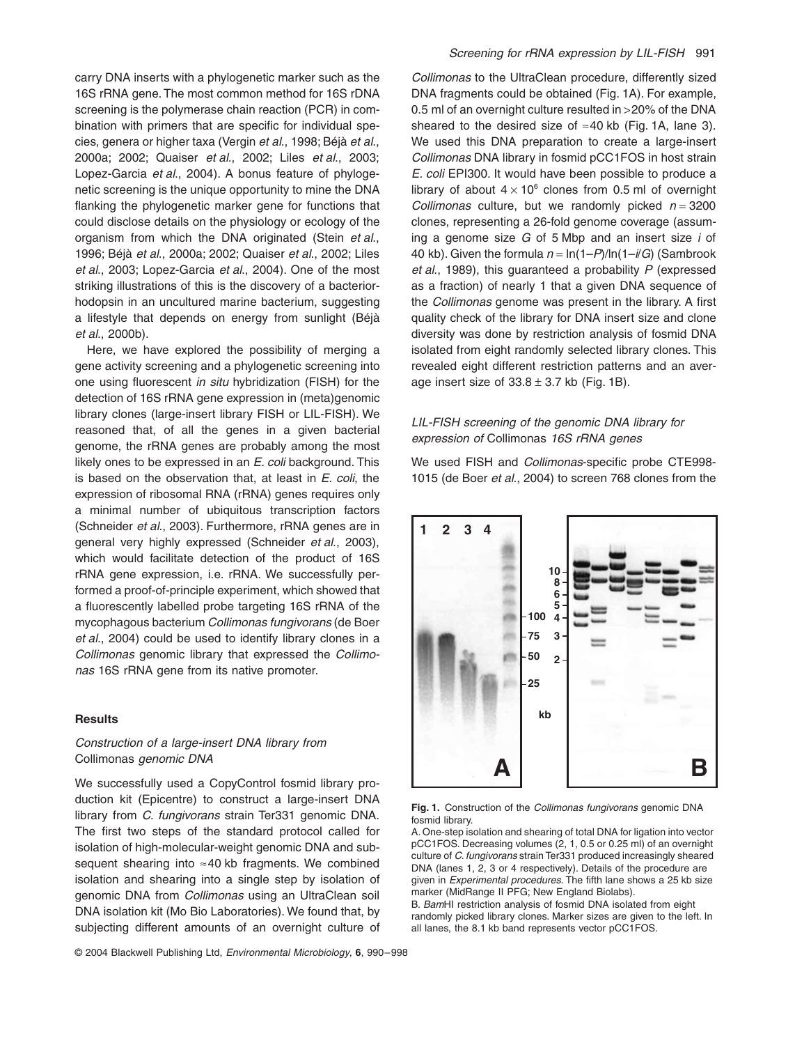carry DNA inserts with a phylogenetic marker such as the 16S rRNA gene. The most common method for 16S rDNA screening is the polymerase chain reaction (PCR) in combination with primers that are specific for individual species, genera or higher taxa (Vergin *et al*., 1998; Béjà *et al*., 2000a; 2002; Quaiser *et al*., 2002; Liles *et al*., 2003; Lopez-Garcia *et al*., 2004). A bonus feature of phylogenetic screening is the unique opportunity to mine the DNA flanking the phylogenetic marker gene for functions that could disclose details on the physiology or ecology of the organism from which the DNA originated (Stein *et al*., 1996; Béjà *et al*., 2000a; 2002; Quaiser *et al*., 2002; Liles *et al*., 2003; Lopez-Garcia *et al*., 2004). One of the most striking illustrations of this is the discovery of a bacteriorhodopsin in an uncultured marine bacterium, suggesting a lifestyle that depends on energy from sunlight (Béjà *et al*., 2000b).

Here, we have explored the possibility of merging a gene activity screening and a phylogenetic screening into one using fluorescent *in situ* hybridization (FISH) for the detection of 16S rRNA gene expression in (meta)genomic library clones (large-insert library FISH or LIL-FISH). We reasoned that, of all the genes in a given bacterial genome, the rRNA genes are probably among the most likely ones to be expressed in an *E. coli* background. This is based on the observation that, at least in *E. coli*, the expression of ribosomal RNA (rRNA) genes requires only a minimal number of ubiquitous transcription factors (Schneider *et al*., 2003). Furthermore, rRNA genes are in general very highly expressed (Schneider *et al*., 2003), which would facilitate detection of the product of 16S rRNA gene expression, i.e. rRNA. We successfully performed a proof-of-principle experiment, which showed that a fluorescently labelled probe targeting 16S rRNA of the mycophagous bacterium *Collimonas fungivorans* (de Boer *et al*., 2004) could be used to identify library clones in a *Collimonas* genomic library that expressed the *Collimonas* 16S rRNA gene from its native promoter.

#### **Results**

## *Construction of a large-insert DNA library from*  Collimonas *genomic DNA*

We successfully used a CopyControl fosmid library production kit (Epicentre) to construct a large-insert DNA library from *C. fungivorans* strain Ter331 genomic DNA. The first two steps of the standard protocol called for isolation of high-molecular-weight genomic DNA and subsequent shearing into  $\approx$ 40 kb fragments. We combined isolation and shearing into a single step by isolation of genomic DNA from *Collimonas* using an UltraClean soil DNA isolation kit (Mo Bio Laboratories). We found that, by subjecting different amounts of an overnight culture of

*Collimonas* to the UltraClean procedure, differently sized DNA fragments could be obtained (Fig. 1A). For example, 0.5 ml of an overnight culture resulted in >20% of the DNA sheared to the desired size of  $\approx$ 40 kb (Fig. 1A, lane 3). We used this DNA preparation to create a large-insert *Collimonas* DNA library in fosmid pCC1FOS in host strain *E. coli* EPI300. It would have been possible to produce a library of about  $4 \times 10^6$  clones from 0.5 ml of overnight *Collimonas* culture, but we randomly picked  $n = 3200$ clones, representing a 26-fold genome coverage (assuming a genome size *G* of 5 Mbp and an insert size *i* of 40 kb). Given the formula  $n = \ln(1-P)/\ln(1-i/G)$  (Sambrook *et al*., 1989), this guaranteed a probability *P* (expressed as a fraction) of nearly 1 that a given DNA sequence of the *Collimonas* genome was present in the library. A first quality check of the library for DNA insert size and clone diversity was done by restriction analysis of fosmid DNA isolated from eight randomly selected library clones. This revealed eight different restriction patterns and an average insert size of  $33.8 \pm 3.7$  kb (Fig. 1B).

# *LIL-FISH screening of the genomic DNA library for expression of* Collimonas *16S rRNA genes*

We used FISH and *Collimonas*-specific probe CTE998- 1015 (de Boer *et al*., 2004) to screen 768 clones from the



**Fig. 1.** Construction of the *Collimonas fungivorans* genomic DNA fosmid library.

A. One-step isolation and shearing of total DNA for ligation into vector pCC1FOS. Decreasing volumes (2, 1, 0.5 or 0.25 ml) of an overnight culture of *C. fungivorans* strain Ter331 produced increasingly sheared DNA (lanes 1, 2, 3 or 4 respectively). Details of the procedure are given in *Experimental procedures*. The fifth lane shows a 25 kb size marker (MidRange II PFG; New England Biolabs).

B. *Bam*HI restriction analysis of fosmid DNA isolated from eight randomly picked library clones. Marker sizes are given to the left. In all lanes, the 8.1 kb band represents vector pCC1FOS.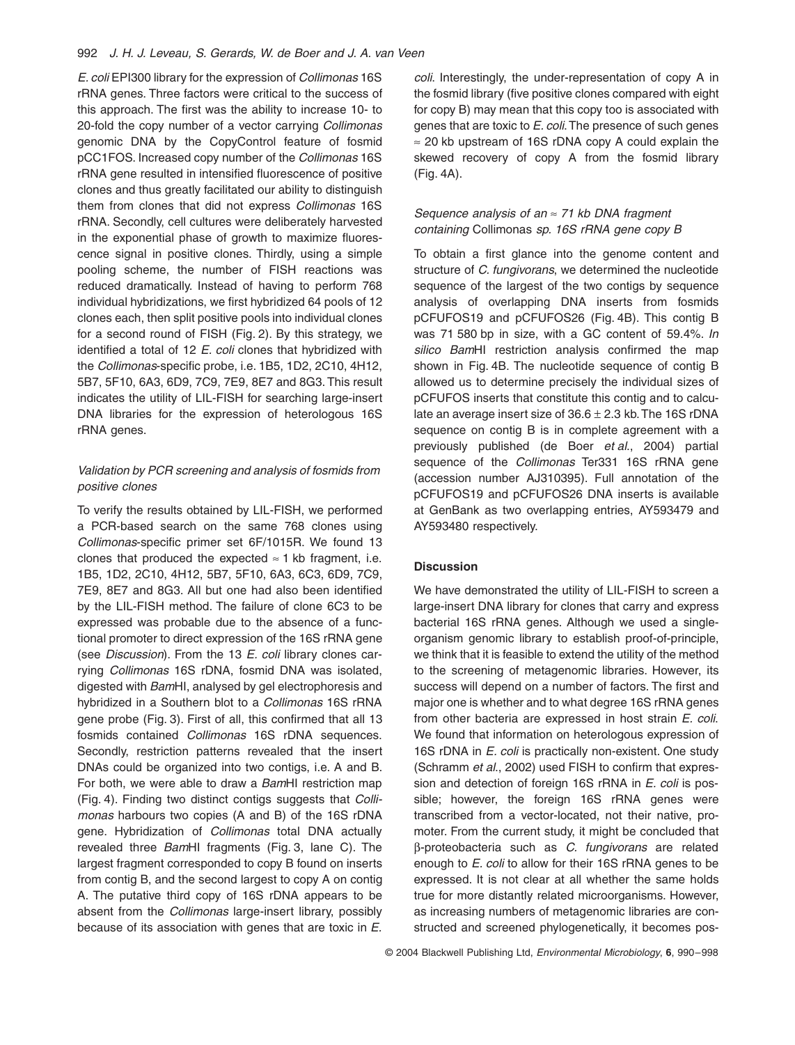*E. coli* EPI300 library for the expression of *Collimonas* 16S rRNA genes. Three factors were critical to the success of this approach. The first was the ability to increase 10- to 20-fold the copy number of a vector carrying *Collimonas* genomic DNA by the CopyControl feature of fosmid pCC1FOS. Increased copy number of the *Collimonas* 16S rRNA gene resulted in intensified fluorescence of positive clones and thus greatly facilitated our ability to distinguish them from clones that did not express *Collimonas* 16S rRNA. Secondly, cell cultures were deliberately harvested in the exponential phase of growth to maximize fluorescence signal in positive clones. Thirdly, using a simple pooling scheme, the number of FISH reactions was reduced dramatically. Instead of having to perform 768 individual hybridizations, we first hybridized 64 pools of 12 clones each, then split positive pools into individual clones for a second round of FISH (Fig. 2). By this strategy, we identified a total of 12 *E. coli* clones that hybridized with the *Collimonas*-specific probe, i.e. 1B5, 1D2, 2C10, 4H12, 5B7, 5F10, 6A3, 6D9, 7C9, 7E9, 8E7 and 8G3. This result indicates the utility of LIL-FISH for searching large-insert DNA libraries for the expression of heterologous 16S rRNA genes.

## *Validation by PCR screening and analysis of fosmids from positive clones*

To verify the results obtained by LIL-FISH, we performed a PCR-based search on the same 768 clones using *Collimonas*-specific primer set 6F/1015R. We found 13 clones that produced the expected  $\approx$  1 kb fragment, i.e. 1B5, 1D2, 2C10, 4H12, 5B7, 5F10, 6A3, 6C3, 6D9, 7C9, 7E9, 8E7 and 8G3. All but one had also been identified by the LIL-FISH method. The failure of clone 6C3 to be expressed was probable due to the absence of a functional promoter to direct expression of the 16S rRNA gene (see *Discussion*). From the 13 *E. coli* library clones carrying *Collimonas* 16S rDNA, fosmid DNA was isolated, digested with *Bam*HI, analysed by gel electrophoresis and hybridized in a Southern blot to a *Collimonas* 16S rRNA gene probe (Fig. 3). First of all, this confirmed that all 13 fosmids contained *Collimonas* 16S rDNA sequences. Secondly, restriction patterns revealed that the insert DNAs could be organized into two contigs, i.e. A and B. For both, we were able to draw a *Bam*HI restriction map (Fig. 4). Finding two distinct contigs suggests that *Collimonas* harbours two copies (A and B) of the 16S rDNA gene. Hybridization of *Collimonas* total DNA actually revealed three *Bam*HI fragments (Fig. 3, lane C). The largest fragment corresponded to copy B found on inserts from contig B, and the second largest to copy A on contig A. The putative third copy of 16S rDNA appears to be absent from the *Collimonas* large-insert library, possibly because of its association with genes that are toxic in *E.*

*coli*. Interestingly, the under-representation of copy A in the fosmid library (five positive clones compared with eight for copy B) may mean that this copy too is associated with genes that are toxic to *E. coli*. The presence of such genes  $\approx$  20 kb upstream of 16S rDNA copy A could explain the skewed recovery of copy A from the fosmid library (Fig. 4A).

## *Sequence analysis of an* ≈ *71 kb DNA fragment containing* Collimonas *sp. 16S rRNA gene copy B*

To obtain a first glance into the genome content and structure of *C. fungivorans*, we determined the nucleotide sequence of the largest of the two contigs by sequence analysis of overlapping DNA inserts from fosmids pCFUFOS19 and pCFUFOS26 (Fig. 4B). This contig B was 71 580 bp in size, with a GC content of 59.4%. *In silico Bam*HI restriction analysis confirmed the map shown in Fig. 4B. The nucleotide sequence of contig B allowed us to determine precisely the individual sizes of pCFUFOS inserts that constitute this contig and to calculate an average insert size of  $36.6 \pm 2.3$  kb. The 16S rDNA sequence on contig B is in complete agreement with a previously published (de Boer *et al*., 2004) partial sequence of the *Collimonas* Ter331 16S rRNA gene (accession number AJ310395). Full annotation of the pCFUFOS19 and pCFUFOS26 DNA inserts is available at GenBank as two overlapping entries, AY593479 and AY593480 respectively.

#### **Discussion**

We have demonstrated the utility of LIL-FISH to screen a large-insert DNA library for clones that carry and express bacterial 16S rRNA genes. Although we used a singleorganism genomic library to establish proof-of-principle, we think that it is feasible to extend the utility of the method to the screening of metagenomic libraries. However, its success will depend on a number of factors. The first and major one is whether and to what degree 16S rRNA genes from other bacteria are expressed in host strain *E. coli*. We found that information on heterologous expression of 16S rDNA in *E. coli* is practically non-existent. One study (Schramm *et al*., 2002) used FISH to confirm that expression and detection of foreign 16S rRNA in *E. coli* is possible; however, the foreign 16S rRNA genes were transcribed from a vector-located, not their native, promoter. From the current study, it might be concluded that b-proteobacteria such as *C. fungivorans* are related enough to *E. coli* to allow for their 16S rRNA genes to be expressed. It is not clear at all whether the same holds true for more distantly related microorganisms. However, as increasing numbers of metagenomic libraries are constructed and screened phylogenetically, it becomes pos-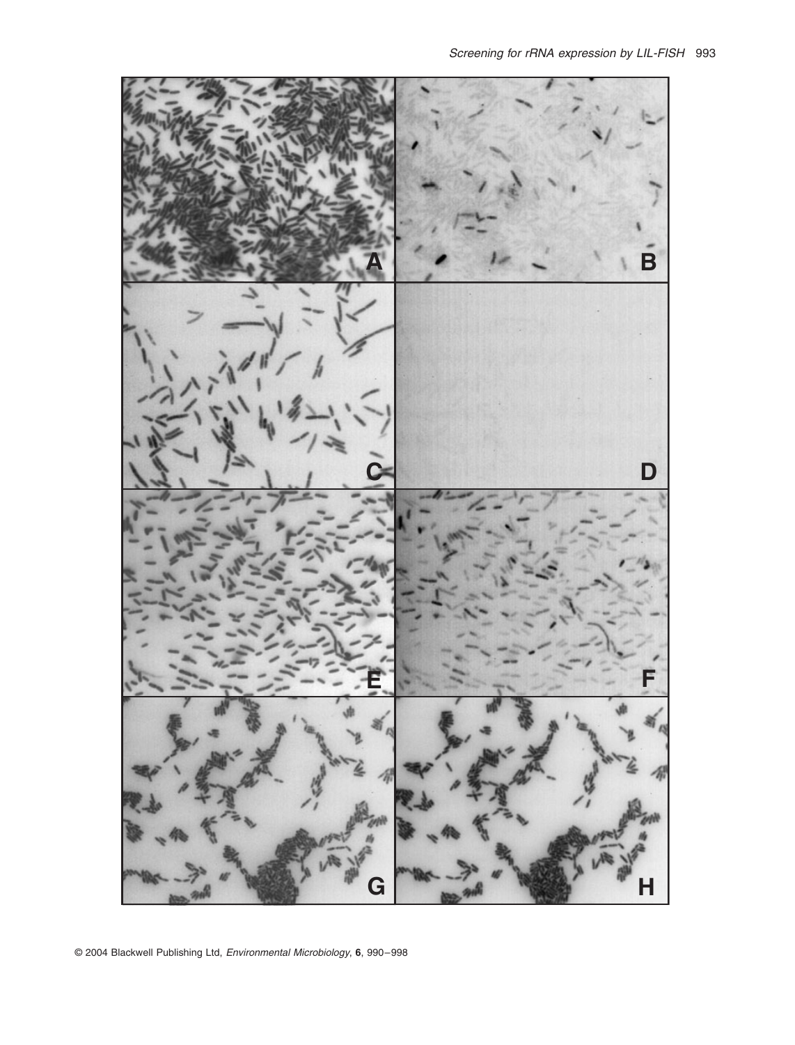

© 2004 Blackwell Publishing Ltd, *Environmental Microbiology*, **6**, 990–998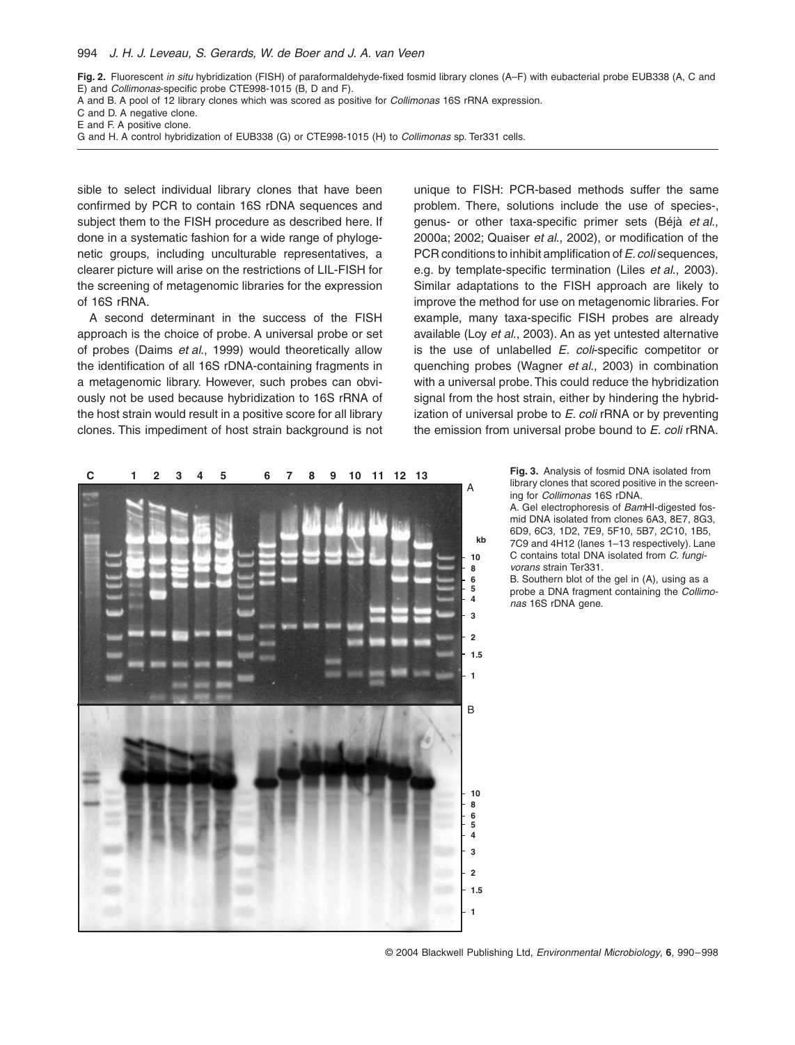#### 994 *J. H. J. Leveau, S. Gerards, W. de Boer and J. A. van Veen*

**Fig. 2.** Fluorescent *in situ* hybridization (FISH) of paraformaldehyde-fixed fosmid library clones (A–F) with eubacterial probe EUB338 (A, C and E) and *Collimonas*-specific probe CTE998-1015 (B, D and F).

A and B. A pool of 12 library clones which was scored as positive for *Collimonas* 16S rRNA expression.

C and D. A negative clone.

E and F. A positive clone.

G and H. A control hybridization of EUB338 (G) or CTE998-1015 (H) to *Collimonas* sp. Ter331 cells.

sible to select individual library clones that have been confirmed by PCR to contain 16S rDNA sequences and subject them to the FISH procedure as described here. If done in a systematic fashion for a wide range of phylogenetic groups, including unculturable representatives, a clearer picture will arise on the restrictions of LIL-FISH for the screening of metagenomic libraries for the expression of 16S rRNA.

A second determinant in the success of the FISH approach is the choice of probe. A universal probe or set of probes (Daims *et al*., 1999) would theoretically allow the identification of all 16S rDNA-containing fragments in a metagenomic library. However, such probes can obviously not be used because hybridization to 16S rRNA of the host strain would result in a positive score for all library clones. This impediment of host strain background is not unique to FISH: PCR-based methods suffer the same problem. There, solutions include the use of species-, genus- or other taxa-specific primer sets (Béjà *et al*., 2000a; 2002; Quaiser *et al*., 2002), or modification of the PCR conditions to inhibit amplification of *E. coli* sequences, e.g. by template-specific termination (Liles *et al*., 2003). Similar adaptations to the FISH approach are likely to improve the method for use on metagenomic libraries. For example, many taxa-specific FISH probes are already available (Loy *et al*., 2003). An as yet untested alternative is the use of unlabelled *E. coli*-specific competitor or quenching probes (Wagner *et al*., 2003) in combination with a universal probe. This could reduce the hybridization signal from the host strain, either by hindering the hybridization of universal probe to *E. coli* rRNA or by preventing the emission from universal probe bound to *E. coli* rRNA.



**Fig. 3.** Analysis of fosmid DNA isolated from library clones that scored positive in the screening for *Collimonas* 16S rDNA.

A. Gel electrophoresis of *Bam*HI-digested fosmid DNA isolated from clones 6A3, 8E7, 8G3, 6D9, 6C3, 1D2, 7E9, 5F10, 5B7, 2C10, 1B5, 7C9 and 4H12 (lanes 1–13 respectively). Lane C contains total DNA isolated from *C. fungivorans* strain Ter331.

B. Southern blot of the gel in (A), using as a probe a DNA fragment containing the *Collimonas* 16S rDNA gene.

© 2004 Blackwell Publishing Ltd, *Environmental Microbiology*, **6**, 990–998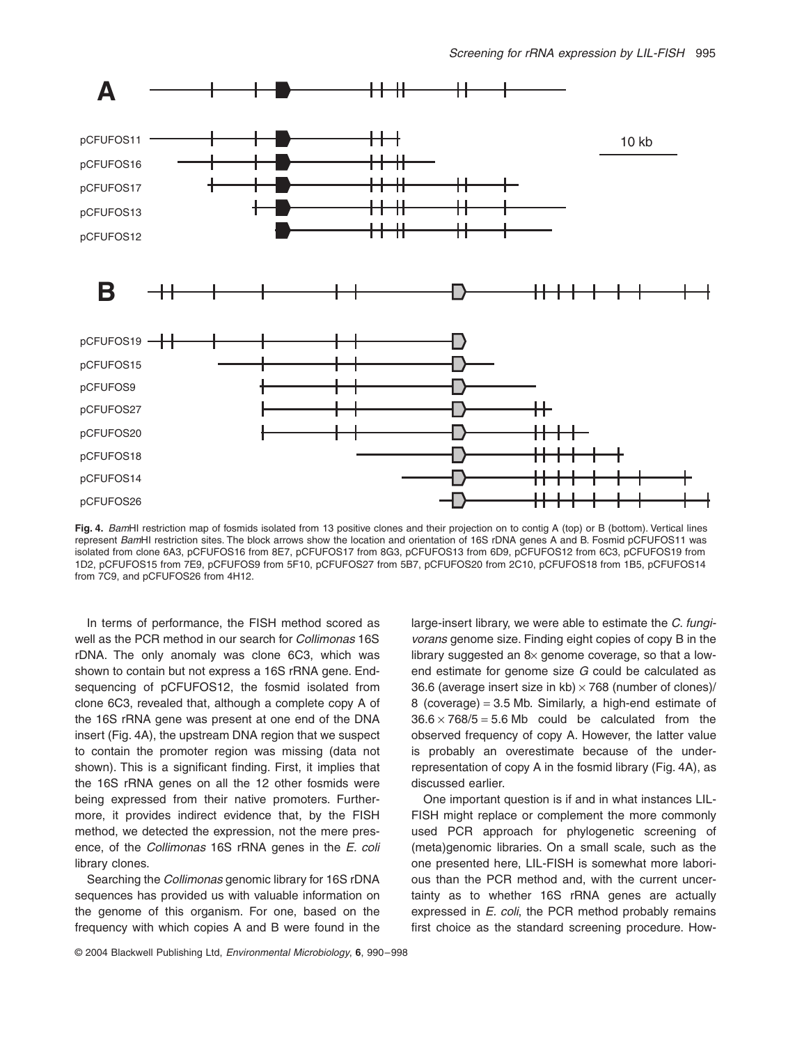

**Fig. 4.** *Bam*HI restriction map of fosmids isolated from 13 positive clones and their projection on to contig A (top) or B (bottom). Vertical lines represent *Bam*HI restriction sites. The block arrows show the location and orientation of 16S rDNA genes A and B. Fosmid pCFUFOS11 was isolated from clone 6A3, pCFUFOS16 from 8E7, pCFUFOS17 from 8G3, pCFUFOS13 from 6D9, pCFUFOS12 from 6C3, pCFUFOS19 from 1D2, pCFUFOS15 from 7E9, pCFUFOS9 from 5F10, pCFUFOS27 from 5B7, pCFUFOS20 from 2C10, pCFUFOS18 from 1B5, pCFUFOS14 from 7C9, and pCFUFOS26 from 4H12.

In terms of performance, the FISH method scored as well as the PCR method in our search for *Collimonas* 16S rDNA. The only anomaly was clone 6C3, which was shown to contain but not express a 16S rRNA gene. Endsequencing of pCFUFOS12, the fosmid isolated from clone 6C3, revealed that, although a complete copy A of the 16S rRNA gene was present at one end of the DNA insert (Fig. 4A), the upstream DNA region that we suspect to contain the promoter region was missing (data not shown). This is a significant finding. First, it implies that the 16S rRNA genes on all the 12 other fosmids were being expressed from their native promoters. Furthermore, it provides indirect evidence that, by the FISH method, we detected the expression, not the mere presence, of the *Collimonas* 16S rRNA genes in the *E. coli* library clones.

Searching the *Collimonas* genomic library for 16S rDNA sequences has provided us with valuable information on the genome of this organism. For one, based on the frequency with which copies A and B were found in the large-insert library, we were able to estimate the *C*. *fungivorans* genome size. Finding eight copies of copy B in the library suggested an  $8\times$  genome coverage, so that a lowend estimate for genome size *G* could be calculated as 36.6 (average insert size in kb)  $\times$  768 (number of clones)/ 8 (coverage) = 3.5 Mb. Similarly, a high-end estimate of  $36.6 \times 768/5 = 5.6$  Mb could be calculated from the observed frequency of copy A. However, the latter value is probably an overestimate because of the underrepresentation of copy A in the fosmid library (Fig. 4A), as discussed earlier.

One important question is if and in what instances LIL-FISH might replace or complement the more commonly used PCR approach for phylogenetic screening of (meta)genomic libraries. On a small scale, such as the one presented here, LIL-FISH is somewhat more laborious than the PCR method and, with the current uncertainty as to whether 16S rRNA genes are actually expressed in *E. coli*, the PCR method probably remains first choice as the standard screening procedure. How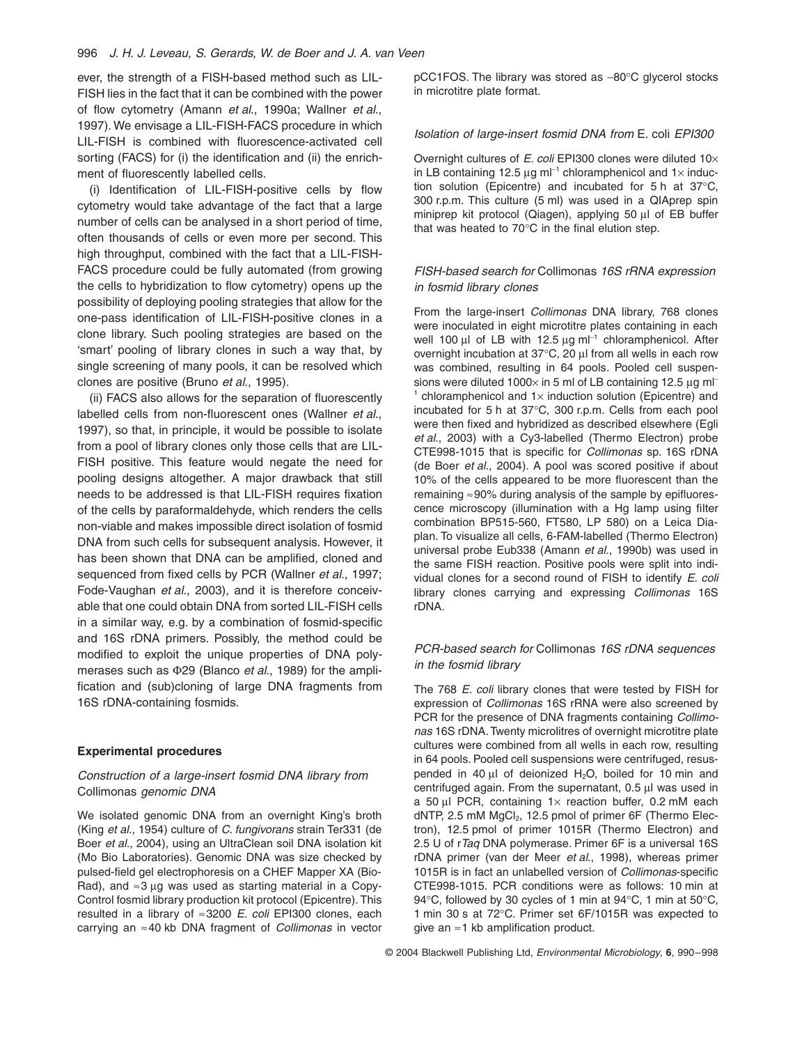ever, the strength of a FISH-based method such as LIL-FISH lies in the fact that it can be combined with the power of flow cytometry (Amann *et al*., 1990a; Wallner *et al*., 1997). We envisage a LIL-FISH-FACS procedure in which LIL-FISH is combined with fluorescence-activated cell sorting (FACS) for (i) the identification and (ii) the enrichment of fluorescently labelled cells.

(i) Identification of LIL-FISH-positive cells by flow cytometry would take advantage of the fact that a large number of cells can be analysed in a short period of time, often thousands of cells or even more per second. This high throughput, combined with the fact that a LIL-FISH-FACS procedure could be fully automated (from growing the cells to hybridization to flow cytometry) opens up the possibility of deploying pooling strategies that allow for the one-pass identification of LIL-FISH-positive clones in a clone library. Such pooling strategies are based on the 'smart' pooling of library clones in such a way that, by single screening of many pools, it can be resolved which clones are positive (Bruno *et al*., 1995).

(ii) FACS also allows for the separation of fluorescently labelled cells from non-fluorescent ones (Wallner *et al*., 1997), so that, in principle, it would be possible to isolate from a pool of library clones only those cells that are LIL-FISH positive. This feature would negate the need for pooling designs altogether. A major drawback that still needs to be addressed is that LIL-FISH requires fixation of the cells by paraformaldehyde, which renders the cells non-viable and makes impossible direct isolation of fosmid DNA from such cells for subsequent analysis. However, it has been shown that DNA can be amplified, cloned and sequenced from fixed cells by PCR (Wallner *et al*., 1997; Fode-Vaughan *et al*., 2003), and it is therefore conceivable that one could obtain DNA from sorted LIL-FISH cells in a similar way, e.g. by a combination of fosmid-specific and 16S rDNA primers. Possibly, the method could be modified to exploit the unique properties of DNA polymerases such as  $\Phi$ 29 (Blanco *et al.*, 1989) for the amplification and (sub)cloning of large DNA fragments from 16S rDNA-containing fosmids.

## **Experimental procedures**

## *Construction of a large-insert fosmid DNA library from*  Collimonas *genomic DNA*

We isolated genomic DNA from an overnight King's broth (King *et al*., 1954) culture of *C. fungivorans* strain Ter331 (de Boer *et al*., 2004), using an UltraClean soil DNA isolation kit (Mo Bio Laboratories). Genomic DNA was size checked by pulsed-field gel electrophoresis on a CHEF Mapper XA (Bio-Rad), and  $\approx 3 \mu$ g was used as starting material in a Copy-Control fosmid library production kit protocol (Epicentre). This resulted in a library of ≈3200 *E. coli* EPI300 clones, each carrying an ≈40 kb DNA fragment of *Collimonas* in vector pCC1FOS. The library was stored as -80∞C glycerol stocks in microtitre plate format.

#### *Isolation of large-insert fosmid DNA from* E. coli *EPI300*

Overnight cultures of *E. coli* EPI300 clones were diluted 10x in LB containing 12.5  $\mu$ g ml<sup>-1</sup> chloramphenicol and 1 $\times$  induction solution (Epicentre) and incubated for 5 h at 37∞C, 300 r.p.m. This culture (5 ml) was used in a QIAprep spin miniprep kit protocol (Qiagen), applying 50 µl of EB buffer that was heated to 70∞C in the final elution step.

## *FISH-based search for* Collimonas *16S rRNA expression in fosmid library clones*

From the large-insert *Collimonas* DNA library, 768 clones were inoculated in eight microtitre plates containing in each well 100  $\mu$ l of LB with 12.5  $\mu$ g ml<sup>-1</sup> chloramphenicol. After overnight incubation at 37°C, 20 µl from all wells in each row was combined, resulting in 64 pools. Pooled cell suspensions were diluted 1000 $\times$  in 5 ml of LB containing 12.5  $\mu$ g ml<sup>-</sup> <sup>1</sup> chloramphenicol and  $1\times$  induction solution (Epicentre) and incubated for 5 h at 37∞C, 300 r.p.m. Cells from each pool were then fixed and hybridized as described elsewhere (Egli *et al*., 2003) with a Cy3-labelled (Thermo Electron) probe CTE998-1015 that is specific for *Collimonas* sp. 16S rDNA (de Boer *et al*., 2004). A pool was scored positive if about 10% of the cells appeared to be more fluorescent than the remaining  $\approx$ 90% during analysis of the sample by epifluorescence microscopy (illumination with a Hg lamp using filter combination BP515-560, FT580, LP 580) on a Leica Diaplan. To visualize all cells, 6-FAM-labelled (Thermo Electron) universal probe Eub338 (Amann *et al*., 1990b) was used in the same FISH reaction. Positive pools were split into individual clones for a second round of FISH to identify *E. coli* library clones carrying and expressing *Collimonas* 16S rDNA.

## *PCR-based search for* Collimonas *16S rDNA sequences in the fosmid library*

The 768 *E. coli* library clones that were tested by FISH for expression of *Collimonas* 16S rRNA were also screened by PCR for the presence of DNA fragments containing *Collimonas* 16S rDNA. Twenty microlitres of overnight microtitre plate cultures were combined from all wells in each row, resulting in 64 pools. Pooled cell suspensions were centrifuged, resuspended in 40  $\mu$  of deionized H<sub>2</sub>O, boiled for 10 min and centrifuged again. From the supernatant,  $0.5 \mu$  was used in a 50  $\mu$ I PCR, containing 1 $\times$  reaction buffer, 0.2 mM each dNTP, 2.5 mM MgCl<sub>2</sub>, 12.5 pmol of primer 6F (Thermo Electron), 12.5 pmol of primer 1015R (Thermo Electron) and 2.5 U of r*Taq* DNA polymerase. Primer 6F is a universal 16S rDNA primer (van der Meer *et al*., 1998), whereas primer 1015R is in fact an unlabelled version of *Collimonas*-specific CTE998-1015. PCR conditions were as follows: 10 min at 94°C, followed by 30 cycles of 1 min at 94°C, 1 min at 50°C, 1 min 30 s at 72∞C. Primer set 6F/1015R was expected to give an  $\approx$ 1 kb amplification product.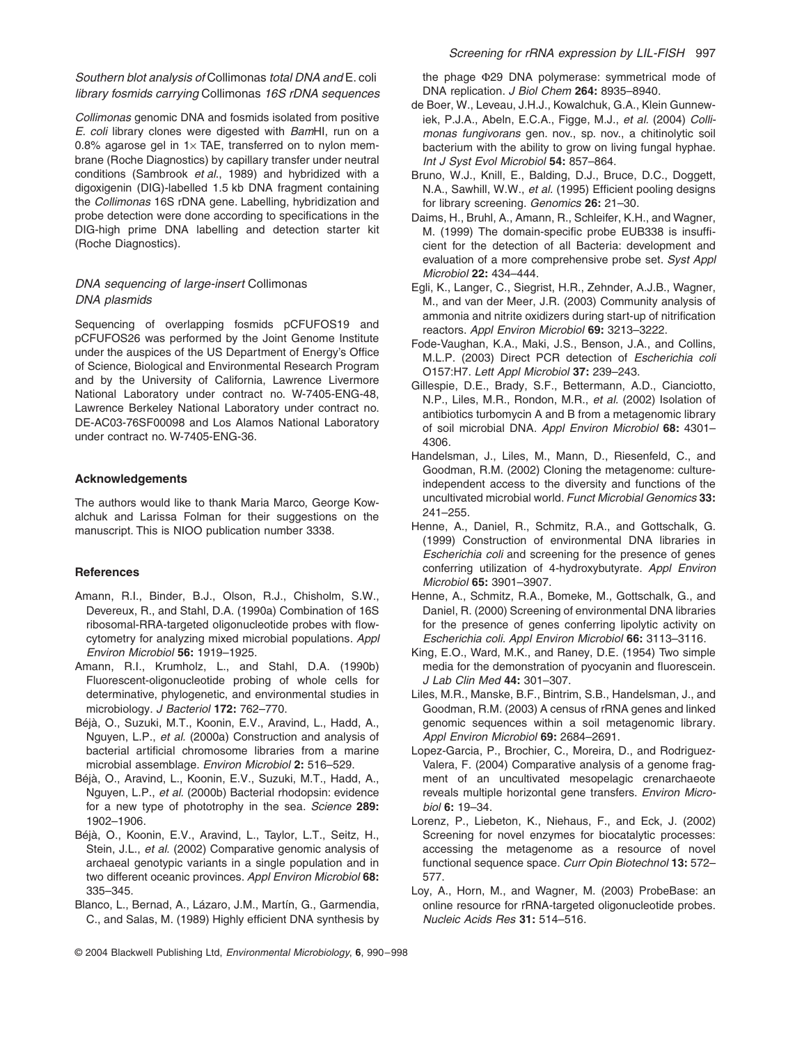*Southern blot analysis of* Collimonas *total DNA and* E. coli *library fosmids carrying* Collimonas *16S rDNA sequences*

*Collimonas* genomic DNA and fosmids isolated from positive *E. coli* library clones were digested with *Bam*HI, run on a 0.8% agarose gel in  $1 \times$  TAE, transferred on to nylon membrane (Roche Diagnostics) by capillary transfer under neutral conditions (Sambrook *et al*., 1989) and hybridized with a digoxigenin (DIG)-labelled 1.5 kb DNA fragment containing the *Collimonas* 16S rDNA gene. Labelling, hybridization and probe detection were done according to specifications in the DIG-high prime DNA labelling and detection starter kit (Roche Diagnostics).

## *DNA sequencing of large-insert* Collimonas *DNA plasmids*

Sequencing of overlapping fosmids pCFUFOS19 and pCFUFOS26 was performed by the Joint Genome Institute under the auspices of the US Department of Energy's Office of Science, Biological and Environmental Research Program and by the University of California, Lawrence Livermore National Laboratory under contract no. W-7405-ENG-48, Lawrence Berkeley National Laboratory under contract no. DE-AC03-76SF00098 and Los Alamos National Laboratory under contract no. W-7405-ENG-36.

#### **Acknowledgements**

The authors would like to thank Maria Marco, George Kowalchuk and Larissa Folman for their suggestions on the manuscript. This is NIOO publication number 3338.

#### **References**

- Amann, R.I., Binder, B.J., Olson, R.J., Chisholm, S.W., Devereux, R., and Stahl, D.A. (1990a) Combination of 16S ribosomal-RRA-targeted oligonucleotide probes with flowcytometry for analyzing mixed microbial populations. *Appl Environ Microbiol* **56:** 1919–1925.
- Amann, R.I., Krumholz, L., and Stahl, D.A. (1990b) Fluorescent-oligonucleotide probing of whole cells for determinative, phylogenetic, and environmental studies in microbiology. *J Bacteriol* **172:** 762–770.
- Béjà, O., Suzuki, M.T., Koonin, E.V., Aravind, L., Hadd, A., Nguyen, L.P., *et al.* (2000a) Construction and analysis of bacterial artificial chromosome libraries from a marine microbial assemblage. *Environ Microbiol* **2:** 516–529.
- Béjà, O., Aravind, L., Koonin, E.V., Suzuki, M.T., Hadd, A., Nguyen, L.P., *et al.* (2000b) Bacterial rhodopsin: evidence for a new type of phototrophy in the sea. *Science* **289:** 1902–1906.
- Béjà, O., Koonin, E.V., Aravind, L., Taylor, L.T., Seitz, H., Stein, J.L., *et al.* (2002) Comparative genomic analysis of archaeal genotypic variants in a single population and in two different oceanic provinces. *Appl Environ Microbiol* **68:** 335–345.
- Blanco, L., Bernad, A., Lázaro, J.M., Martín, G., Garmendia, C., and Salas, M. (1989) Highly efficient DNA synthesis by

the phage  $\Phi$ 29 DNA polymerase: symmetrical mode of DNA replication. *J Biol Chem* **264:** 8935–8940.

- de Boer, W., Leveau, J.H.J., Kowalchuk, G.A., Klein Gunnewiek, P.J.A., Abeln, E.C.A., Figge, M.J., *et al.* (2004) *Collimonas fungivorans* gen. nov., sp. nov., a chitinolytic soil bacterium with the ability to grow on living fungal hyphae. *Int J Syst Evol Microbiol* **54:** 857–864.
- Bruno, W.J., Knill, E., Balding, D.J., Bruce, D.C., Doggett, N.A., Sawhill, W.W., *et al.* (1995) Efficient pooling designs for library screening. *Genomics* **26:** 21–30.
- Daims, H., Bruhl, A., Amann, R., Schleifer, K.H., and Wagner, M. (1999) The domain-specific probe EUB338 is insufficient for the detection of all Bacteria: development and evaluation of a more comprehensive probe set. *Syst Appl Microbiol* **22:** 434–444.
- Egli, K., Langer, C., Siegrist, H.R., Zehnder, A.J.B., Wagner, M., and van der Meer, J.R. (2003) Community analysis of ammonia and nitrite oxidizers during start-up of nitrification reactors. *Appl Environ Microbiol* **69:** 3213–3222.
- Fode-Vaughan, K.A., Maki, J.S., Benson, J.A., and Collins, M.L.P. (2003) Direct PCR detection of *Escherichia coli* O157:H7. *Lett Appl Microbiol* **37:** 239–243.
- Gillespie, D.E., Brady, S.F., Bettermann, A.D., Cianciotto, N.P., Liles, M.R., Rondon, M.R., *et al.* (2002) Isolation of antibiotics turbomycin A and B from a metagenomic library of soil microbial DNA. *Appl Environ Microbiol* **68:** 4301– 4306.
- Handelsman, J., Liles, M., Mann, D., Riesenfeld, C., and Goodman, R.M. (2002) Cloning the metagenome: cultureindependent access to the diversity and functions of the uncultivated microbial world. *Funct Microbial Genomics* **33:** 241–255.
- Henne, A., Daniel, R., Schmitz, R.A., and Gottschalk, G. (1999) Construction of environmental DNA libraries in *Escherichia coli* and screening for the presence of genes conferring utilization of 4-hydroxybutyrate. *Appl Environ Microbiol* **65:** 3901–3907.
- Henne, A., Schmitz, R.A., Bomeke, M., Gottschalk, G., and Daniel, R. (2000) Screening of environmental DNA libraries for the presence of genes conferring lipolytic activity on *Escherichia coli*. *Appl Environ Microbiol* **66:** 3113–3116.
- King, E.O., Ward, M.K., and Raney, D.E. (1954) Two simple media for the demonstration of pyocyanin and fluorescein. *J Lab Clin Med* **44:** 301–307.
- Liles, M.R., Manske, B.F., Bintrim, S.B., Handelsman, J., and Goodman, R.M. (2003) A census of rRNA genes and linked genomic sequences within a soil metagenomic library. *Appl Environ Microbiol* **69:** 2684–2691.
- Lopez-Garcia, P., Brochier, C., Moreira, D., and Rodriguez-Valera, F. (2004) Comparative analysis of a genome fragment of an uncultivated mesopelagic crenarchaeote reveals multiple horizontal gene transfers. *Environ Microbiol* **6:** 19–34.
- Lorenz, P., Liebeton, K., Niehaus, F., and Eck, J. (2002) Screening for novel enzymes for biocatalytic processes: accessing the metagenome as a resource of novel functional sequence space. *Curr Opin Biotechnol* **13:** 572– 577.
- Loy, A., Horn, M., and Wagner, M. (2003) ProbeBase: an online resource for rRNA-targeted oligonucleotide probes. *Nucleic Acids Res* **31:** 514–516.
- © 2004 Blackwell Publishing Ltd, *Environmental Microbiology*, **6**, 990–998